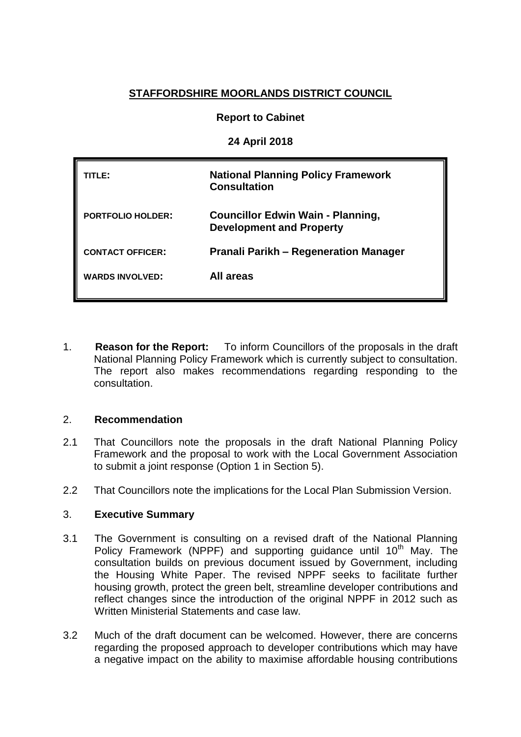# **STAFFORDSHIRE MOORLANDS DISTRICT COUNCIL**

## **Report to Cabinet**

**24 April 2018**

| rle:                     | <b>National Planning Policy Framework</b><br><b>Consultation</b>            |
|--------------------------|-----------------------------------------------------------------------------|
| <b>PORTFOLIO HOLDER:</b> | <b>Councillor Edwin Wain - Planning,</b><br><b>Development and Property</b> |
| <b>CONTACT OFFICER:</b>  | <b>Pranali Parikh - Regeneration Manager</b>                                |
| <b>WARDS INVOLVED:</b>   | All areas                                                                   |

1. **Reason for the Report:** To inform Councillors of the proposals in the draft National Planning Policy Framework which is currently subject to consultation. The report also makes recommendations regarding responding to the consultation.

## 2. **Recommendation**

- 2.1 That Councillors note the proposals in the draft National Planning Policy Framework and the proposal to work with the Local Government Association to submit a joint response (Option 1 in Section 5).
- 2.2 That Councillors note the implications for the Local Plan Submission Version.

#### 3. **Executive Summary**

- 3.1 The Government is consulting on a revised draft of the National Planning Policy Framework (NPPF) and supporting quidance until 10<sup>th</sup> May. The consultation builds on previous document issued by Government, including the Housing White Paper. The revised NPPF seeks to facilitate further housing growth, protect the green belt, streamline developer contributions and reflect changes since the introduction of the original NPPF in 2012 such as Written Ministerial Statements and case law.
- 3.2 Much of the draft document can be welcomed. However, there are concerns regarding the proposed approach to developer contributions which may have a negative impact on the ability to maximise affordable housing contributions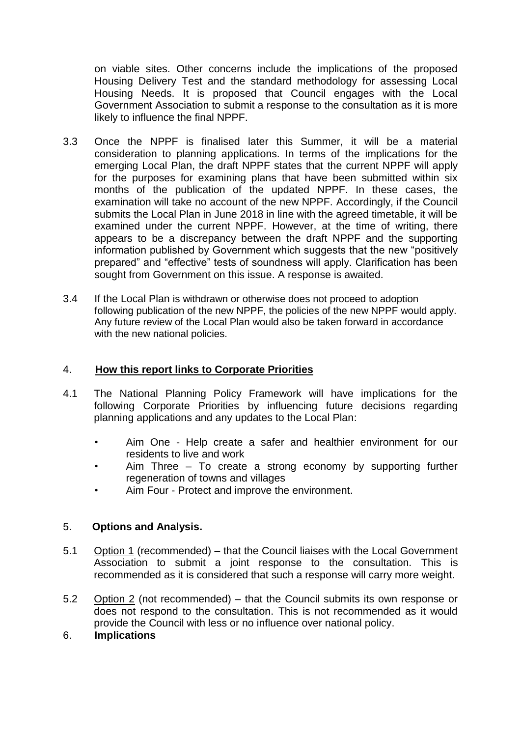on viable sites. Other concerns include the implications of the proposed Housing Delivery Test and the standard methodology for assessing Local Housing Needs. It is proposed that Council engages with the Local Government Association to submit a response to the consultation as it is more likely to influence the final NPPF.

- 3.3 Once the NPPF is finalised later this Summer, it will be a material consideration to planning applications. In terms of the implications for the emerging Local Plan, the draft NPPF states that the current NPPF will apply for the purposes for examining plans that have been submitted within six months of the publication of the updated NPPF. In these cases, the examination will take no account of the new NPPF. Accordingly, if the Council submits the Local Plan in June 2018 in line with the agreed timetable, it will be examined under the current NPPF. However, at the time of writing, there appears to be a discrepancy between the draft NPPF and the supporting information published by Government which suggests that the new "positively prepared" and "effective" tests of soundness will apply. Clarification has been sought from Government on this issue. A response is awaited.
- 3.4 If the Local Plan is withdrawn or otherwise does not proceed to adoption following publication of the new NPPF, the policies of the new NPPF would apply. Any future review of the Local Plan would also be taken forward in accordance with the new national policies.

## 4. **How this report links to Corporate Priorities**

- 4.1 The National Planning Policy Framework will have implications for the following Corporate Priorities by influencing future decisions regarding planning applications and any updates to the Local Plan:
	- Aim One Help create a safer and healthier environment for our residents to live and work
	- Aim Three To create a strong economy by supporting further regeneration of towns and villages
	- Aim Four Protect and improve the environment.

## 5. **Options and Analysis.**

- 5.1 Option 1 (recommended) that the Council liaises with the Local Government Association to submit a joint response to the consultation. This is recommended as it is considered that such a response will carry more weight.
- 5.2 Option 2 (not recommended) that the Council submits its own response or does not respond to the consultation. This is not recommended as it would provide the Council with less or no influence over national policy.

## 6. **Implications**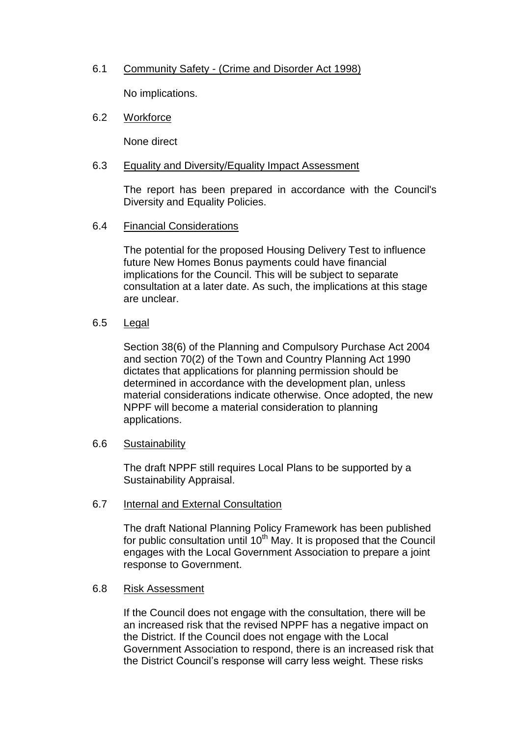# 6.1 Community Safety - (Crime and Disorder Act 1998)

No implications.

### 6.2 Workforce

None direct

### 6.3 Equality and Diversity/Equality Impact Assessment

The report has been prepared in accordance with the Council's Diversity and Equality Policies.

### 6.4 Financial Considerations

The potential for the proposed Housing Delivery Test to influence future New Homes Bonus payments could have financial implications for the Council. This will be subject to separate consultation at a later date. As such, the implications at this stage are unclear.

## 6.5 Legal

Section 38(6) of the Planning and Compulsory Purchase Act 2004 and section 70(2) of the Town and Country Planning Act 1990 dictates that applications for planning permission should be determined in accordance with the development plan, unless material considerations indicate otherwise. Once adopted, the new NPPF will become a material consideration to planning applications.

#### 6.6 Sustainability

The draft NPPF still requires Local Plans to be supported by a Sustainability Appraisal.

#### 6.7 Internal and External Consultation

The draft National Planning Policy Framework has been published for public consultation until  $10^{th}$  May. It is proposed that the Council engages with the Local Government Association to prepare a joint response to Government.

## 6.8 Risk Assessment

If the Council does not engage with the consultation, there will be an increased risk that the revised NPPF has a negative impact on the District. If the Council does not engage with the Local Government Association to respond, there is an increased risk that the District Council's response will carry less weight. These risks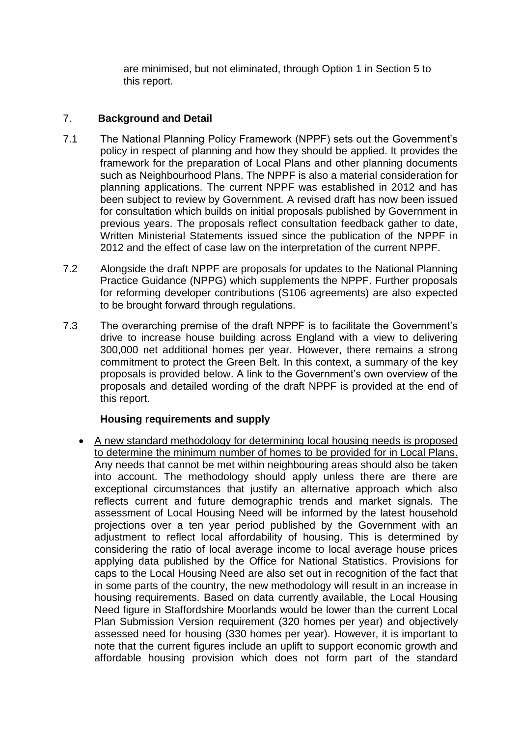are minimised, but not eliminated, through Option 1 in Section 5 to this report.

# 7. **Background and Detail**

- 7.1 The National Planning Policy Framework (NPPF) sets out the Government's policy in respect of planning and how they should be applied. It provides the framework for the preparation of Local Plans and other planning documents such as Neighbourhood Plans. The NPPF is also a material consideration for planning applications. The current NPPF was established in 2012 and has been subject to review by Government. A revised draft has now been issued for consultation which builds on initial proposals published by Government in previous years. The proposals reflect consultation feedback gather to date, Written Ministerial Statements issued since the publication of the NPPF in 2012 and the effect of case law on the interpretation of the current NPPF.
- 7.2 Alongside the draft NPPF are proposals for updates to the National Planning Practice Guidance (NPPG) which supplements the NPPF. Further proposals for reforming developer contributions (S106 agreements) are also expected to be brought forward through regulations.
- 7.3 The overarching premise of the draft NPPF is to facilitate the Government's drive to increase house building across England with a view to delivering 300,000 net additional homes per year. However, there remains a strong commitment to protect the Green Belt. In this context, a summary of the key proposals is provided below. A link to the Government's own overview of the proposals and detailed wording of the draft NPPF is provided at the end of this report.

# **Housing requirements and supply**

 A new standard methodology for determining local housing needs is proposed to determine the minimum number of homes to be provided for in Local Plans. Any needs that cannot be met within neighbouring areas should also be taken into account. The methodology should apply unless there are there are exceptional circumstances that justify an alternative approach which also reflects current and future demographic trends and market signals. The assessment of Local Housing Need will be informed by the latest household projections over a ten year period published by the Government with an adjustment to reflect local affordability of housing. This is determined by considering the ratio of local average income to local average house prices applying data published by the Office for National Statistics. Provisions for caps to the Local Housing Need are also set out in recognition of the fact that in some parts of the country, the new methodology will result in an increase in housing requirements. Based on data currently available, the Local Housing Need figure in Staffordshire Moorlands would be lower than the current Local Plan Submission Version requirement (320 homes per year) and objectively assessed need for housing (330 homes per year). However, it is important to note that the current figures include an uplift to support economic growth and affordable housing provision which does not form part of the standard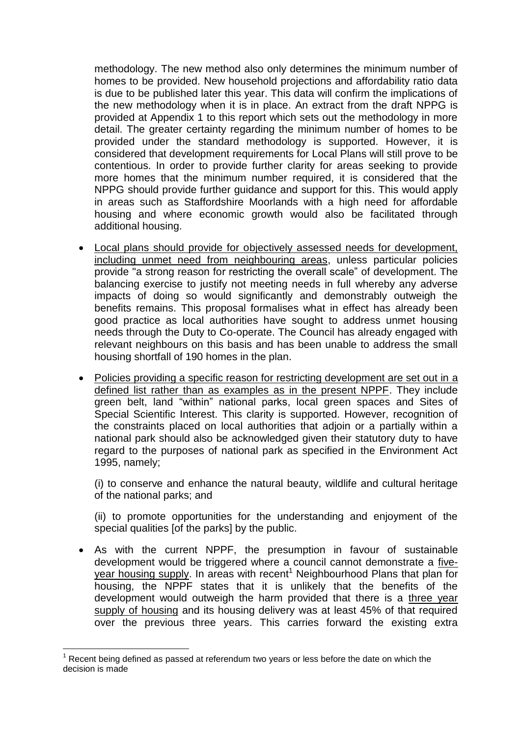methodology. The new method also only determines the minimum number of homes to be provided. New household projections and affordability ratio data is due to be published later this year. This data will confirm the implications of the new methodology when it is in place. An extract from the draft NPPG is provided at Appendix 1 to this report which sets out the methodology in more detail. The greater certainty regarding the minimum number of homes to be provided under the standard methodology is supported. However, it is considered that development requirements for Local Plans will still prove to be contentious. In order to provide further clarity for areas seeking to provide more homes that the minimum number required, it is considered that the NPPG should provide further guidance and support for this. This would apply in areas such as Staffordshire Moorlands with a high need for affordable housing and where economic growth would also be facilitated through additional housing.

- Local plans should provide for objectively assessed needs for development, including unmet need from neighbouring areas, unless particular policies provide "a strong reason for restricting the overall scale" of development. The balancing exercise to justify not meeting needs in full whereby any adverse impacts of doing so would significantly and demonstrably outweigh the benefits remains. This proposal formalises what in effect has already been good practice as local authorities have sought to address unmet housing needs through the Duty to Co-operate. The Council has already engaged with relevant neighbours on this basis and has been unable to address the small housing shortfall of 190 homes in the plan.
- Policies providing a specific reason for restricting development are set out in a defined list rather than as examples as in the present NPPF. They include green belt, land "within" national parks, local green spaces and Sites of Special Scientific Interest. This clarity is supported. However, recognition of the constraints placed on local authorities that adjoin or a partially within a national park should also be acknowledged given their statutory duty to have regard to the purposes of national park as specified in the Environment Act 1995, namely;

(i) to conserve and enhance the natural beauty, wildlife and cultural heritage of the national parks; and

(ii) to promote opportunities for the understanding and enjoyment of the special qualities [of the parks] by the public.

 As with the current NPPF, the presumption in favour of sustainable development would be triggered where a council cannot demonstrate a fiveyear housing supply. In areas with recent<sup>1</sup> Neighbourhood Plans that plan for housing, the NPPF states that it is unlikely that the benefits of the development would outweigh the harm provided that there is a three year supply of housing and its housing delivery was at least 45% of that required over the previous three years. This carries forward the existing extra

1

 $<sup>1</sup>$  Recent being defined as passed at referendum two years or less before the date on which the</sup> decision is made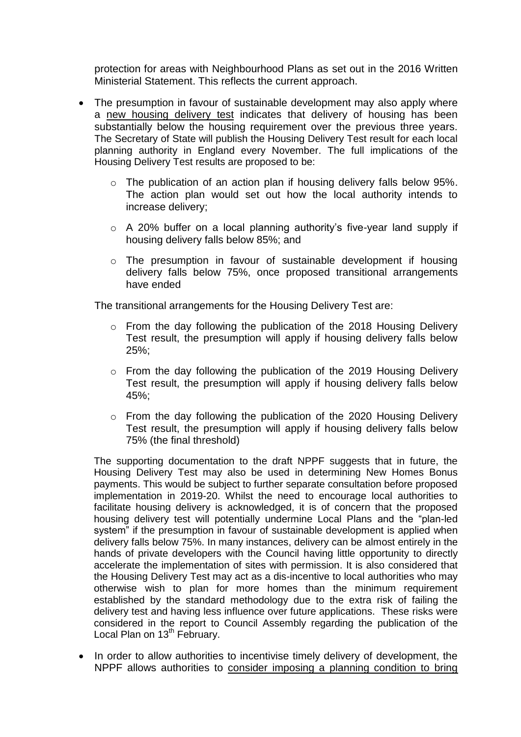protection for areas with Neighbourhood Plans as set out in the 2016 Written Ministerial Statement. This reflects the current approach.

- The presumption in favour of sustainable development may also apply where a new housing delivery test indicates that delivery of housing has been substantially below the housing requirement over the previous three years. The Secretary of State will publish the Housing Delivery Test result for each local planning authority in England every November. The full implications of the Housing Delivery Test results are proposed to be:
	- o The publication of an action plan if housing delivery falls below 95%. The action plan would set out how the local authority intends to increase delivery;
	- o A 20% buffer on a local planning authority's five-year land supply if housing delivery falls below 85%; and
	- o The presumption in favour of sustainable development if housing delivery falls below 75%, once proposed transitional arrangements have ended

The transitional arrangements for the Housing Delivery Test are:

- o From the day following the publication of the 2018 Housing Delivery Test result, the presumption will apply if housing delivery falls below 25%;
- o From the day following the publication of the 2019 Housing Delivery Test result, the presumption will apply if housing delivery falls below 45%;
- o From the day following the publication of the 2020 Housing Delivery Test result, the presumption will apply if housing delivery falls below 75% (the final threshold)

The supporting documentation to the draft NPPF suggests that in future, the Housing Delivery Test may also be used in determining New Homes Bonus payments. This would be subject to further separate consultation before proposed implementation in 2019-20. Whilst the need to encourage local authorities to facilitate housing delivery is acknowledged, it is of concern that the proposed housing delivery test will potentially undermine Local Plans and the "plan-led system" if the presumption in favour of sustainable development is applied when delivery falls below 75%. In many instances, delivery can be almost entirely in the hands of private developers with the Council having little opportunity to directly accelerate the implementation of sites with permission. It is also considered that the Housing Delivery Test may act as a dis-incentive to local authorities who may otherwise wish to plan for more homes than the minimum requirement established by the standard methodology due to the extra risk of failing the delivery test and having less influence over future applications. These risks were considered in the report to Council Assembly regarding the publication of the Local Plan on 13<sup>th</sup> February.

• In order to allow authorities to incentivise timely delivery of development, the NPPF allows authorities to consider imposing a planning condition to bring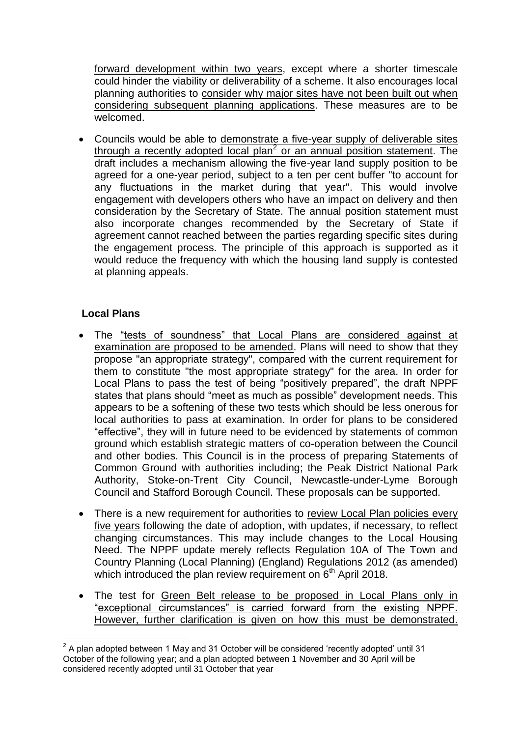forward development within two years, except where a shorter timescale could hinder the viability or deliverability of a scheme. It also encourages local planning authorities to consider why major sites have not been built out when considering subsequent planning applications. These measures are to be welcomed.

 Councils would be able to demonstrate a five-year supply of deliverable sites through a recently adopted local plan<sup>2</sup> or an annual position statement. The draft includes a mechanism allowing the five-year land supply position to be agreed for a one-year period, subject to a ten per cent buffer "to account for any fluctuations in the market during that year". This would involve engagement with developers others who have an impact on delivery and then consideration by the Secretary of State. The annual position statement must also incorporate changes recommended by the Secretary of State if agreement cannot reached between the parties regarding specific sites during the engagement process. The principle of this approach is supported as it would reduce the frequency with which the housing land supply is contested at planning appeals.

# **Local Plans**

- The "tests of soundness" that Local Plans are considered against at examination are proposed to be amended. Plans will need to show that they propose "an appropriate strategy", compared with the current requirement for them to constitute "the most appropriate strategy" for the area. In order for Local Plans to pass the test of being "positively prepared", the draft NPPF states that plans should "meet as much as possible" development needs. This appears to be a softening of these two tests which should be less onerous for local authorities to pass at examination. In order for plans to be considered "effective", they will in future need to be evidenced by statements of common ground which establish strategic matters of co-operation between the Council and other bodies. This Council is in the process of preparing Statements of Common Ground with authorities including; the Peak District National Park Authority, Stoke-on-Trent City Council, Newcastle-under-Lyme Borough Council and Stafford Borough Council. These proposals can be supported.
- There is a new requirement for authorities to review Local Plan policies every five years following the date of adoption, with updates, if necessary, to reflect changing circumstances. This may include changes to the Local Housing Need. The NPPF update merely reflects Regulation 10A of The Town and Country Planning (Local Planning) (England) Regulations 2012 (as amended) which introduced the plan review requirement on  $6<sup>th</sup>$  April 2018.
- The test for Green Belt release to be proposed in Local Plans only in "exceptional circumstances" is carried forward from the existing NPPF. However, further clarification is given on how this must be demonstrated.

<sup>1</sup>  $2$  A plan adopted between 1 May and 31 October will be considered 'recently adopted' until 31 October of the following year; and a plan adopted between 1 November and 30 April will be considered recently adopted until 31 October that year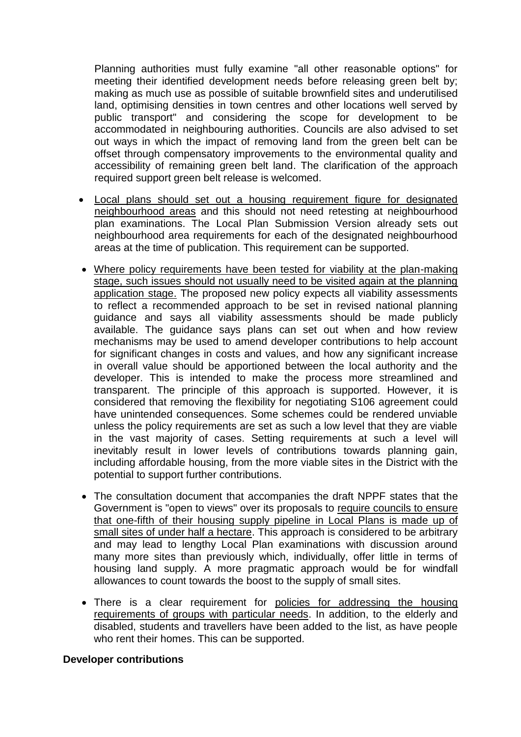Planning authorities must fully examine "all other reasonable options" for meeting their identified development needs before releasing green belt by; making as much use as possible of suitable brownfield sites and underutilised land, optimising densities in town centres and other locations well served by public transport" and considering the scope for development to be accommodated in neighbouring authorities. Councils are also advised to set out ways in which the impact of removing land from the green belt can be offset through compensatory improvements to the environmental quality and accessibility of remaining green belt land. The clarification of the approach required support green belt release is welcomed.

- Local plans should set out a housing requirement figure for designated neighbourhood areas and this should not need retesting at neighbourhood plan examinations. The Local Plan Submission Version already sets out neighbourhood area requirements for each of the designated neighbourhood areas at the time of publication. This requirement can be supported.
- Where policy requirements have been tested for viability at the plan-making stage, such issues should not usually need to be visited again at the planning application stage. The proposed new policy expects all viability assessments to reflect a recommended approach to be set in revised national planning guidance and says all viability assessments should be made publicly available. The guidance says plans can set out when and how review mechanisms may be used to amend developer contributions to help account for significant changes in costs and values, and how any significant increase in overall value should be apportioned between the local authority and the developer. This is intended to make the process more streamlined and transparent. The principle of this approach is supported. However, it is considered that removing the flexibility for negotiating S106 agreement could have unintended consequences. Some schemes could be rendered unviable unless the policy requirements are set as such a low level that they are viable in the vast majority of cases. Setting requirements at such a level will inevitably result in lower levels of contributions towards planning gain, including affordable housing, from the more viable sites in the District with the potential to support further contributions.
- The consultation document that accompanies the draft NPPF states that the Government is "open to views" over its proposals to require councils to ensure that one-fifth of their housing supply pipeline in Local Plans is made up of small sites of under half a hectare. This approach is considered to be arbitrary and may lead to lengthy Local Plan examinations with discussion around many more sites than previously which, individually, offer little in terms of housing land supply. A more pragmatic approach would be for windfall allowances to count towards the boost to the supply of small sites.
- There is a clear requirement for policies for addressing the housing requirements of groups with particular needs. In addition, to the elderly and disabled, students and travellers have been added to the list, as have people who rent their homes. This can be supported.

### **Developer contributions**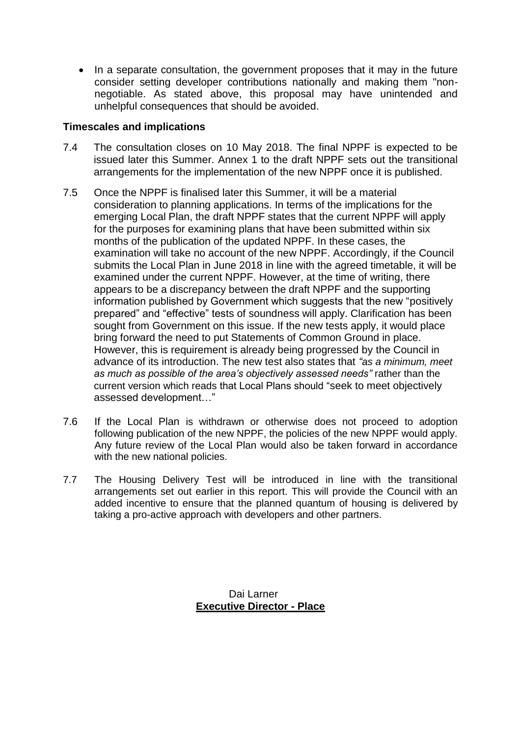• In a separate consultation, the government proposes that it may in the future consider setting developer contributions nationally and making them "nonnegotiable. As stated above, this proposal may have unintended and unhelpful consequences that should be avoided.

## **Timescales and implications**

- 7.4 The consultation closes on 10 May 2018. The final NPPF is expected to be issued later this Summer. Annex 1 to the draft NPPF sets out the transitional arrangements for the implementation of the new NPPF once it is published.
- 7.5 Once the NPPF is finalised later this Summer, it will be a material consideration to planning applications. In terms of the implications for the emerging Local Plan, the draft NPPF states that the current NPPF will apply for the purposes for examining plans that have been submitted within six months of the publication of the updated NPPF. In these cases, the examination will take no account of the new NPPF. Accordingly, if the Council submits the Local Plan in June 2018 in line with the agreed timetable, it will be examined under the current NPPF. However, at the time of writing, there appears to be a discrepancy between the draft NPPF and the supporting information published by Government which suggests that the new "positively prepared" and "effective" tests of soundness will apply. Clarification has been sought from Government on this issue. If the new tests apply, it would place bring forward the need to put Statements of Common Ground in place. However, this is requirement is already being progressed by the Council in advance of its introduction. The new test also states that *"as a minimum, meet as much as possible of the area's objectively assessed needs"* rather than the current version which reads that Local Plans should "seek to meet objectively assessed development…"
- 7.6 If the Local Plan is withdrawn or otherwise does not proceed to adoption following publication of the new NPPF, the policies of the new NPPF would apply. Any future review of the Local Plan would also be taken forward in accordance with the new national policies.
- 7.7 The Housing Delivery Test will be introduced in line with the transitional arrangements set out earlier in this report. This will provide the Council with an added incentive to ensure that the planned quantum of housing is delivered by taking a pro-active approach with developers and other partners.

Dai Larner **Executive Director - Place**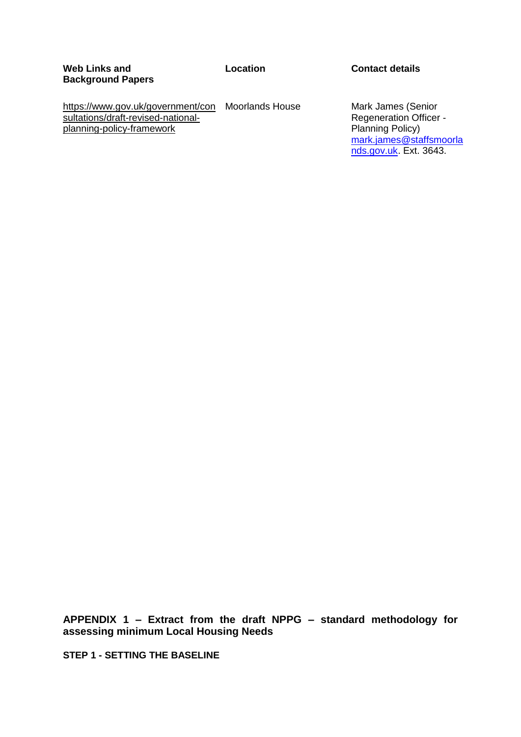#### **Location Contact details**

[https://www.gov.uk/government/con](https://www.gov.uk/government/consultations/draft-revised-national-planning-policy-framework) Moorlands House [sultations/draft-revised-national](https://www.gov.uk/government/consultations/draft-revised-national-planning-policy-framework)[planning-policy-framework](https://www.gov.uk/government/consultations/draft-revised-national-planning-policy-framework)

Mark James (Senior Regeneration Officer - Planning Policy) [mark.james@staffsmoorla](mailto:mark.james@staffsmoorlands.gov.uk) [nds.gov.uk.](mailto:mark.james@staffsmoorlands.gov.uk) Ext. 3643.

**APPENDIX 1 – Extract from the draft NPPG – standard methodology for assessing minimum Local Housing Needs**

**STEP 1 - SETTING THE BASELINE**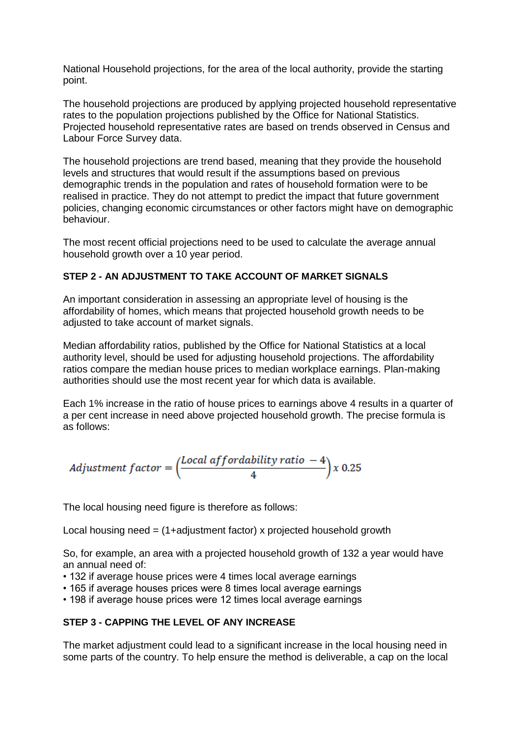National Household projections, for the area of the local authority, provide the starting point.

The household projections are produced by applying projected household representative rates to the population projections published by the Office for National Statistics. Projected household representative rates are based on trends observed in Census and Labour Force Survey data.

The household projections are trend based, meaning that they provide the household levels and structures that would result if the assumptions based on previous demographic trends in the population and rates of household formation were to be realised in practice. They do not attempt to predict the impact that future government policies, changing economic circumstances or other factors might have on demographic behaviour.

The most recent official projections need to be used to calculate the average annual household growth over a 10 year period.

### **STEP 2 - AN ADJUSTMENT TO TAKE ACCOUNT OF MARKET SIGNALS**

An important consideration in assessing an appropriate level of housing is the affordability of homes, which means that projected household growth needs to be adjusted to take account of market signals.

Median affordability ratios, published by the Office for National Statistics at a local authority level, should be used for adjusting household projections. The affordability ratios compare the median house prices to median workplace earnings. Plan-making authorities should use the most recent year for which data is available.

Each 1% increase in the ratio of house prices to earnings above 4 results in a quarter of a per cent increase in need above projected household growth. The precise formula is as follows:

*Adjustment factor* = 
$$
\left(\frac{Local\text{ af }fordability\text{ ratio } -4}{4}\right)x\ 0.25
$$

The local housing need figure is therefore as follows:

Local housing need  $=$  (1+adjustment factor) x projected household growth

So, for example, an area with a projected household growth of 132 a year would have an annual need of:

- 132 if average house prices were 4 times local average earnings
- 165 if average houses prices were 8 times local average earnings
- 198 if average house prices were 12 times local average earnings

#### **STEP 3 - CAPPING THE LEVEL OF ANY INCREASE**

The market adjustment could lead to a significant increase in the local housing need in some parts of the country. To help ensure the method is deliverable, a cap on the local